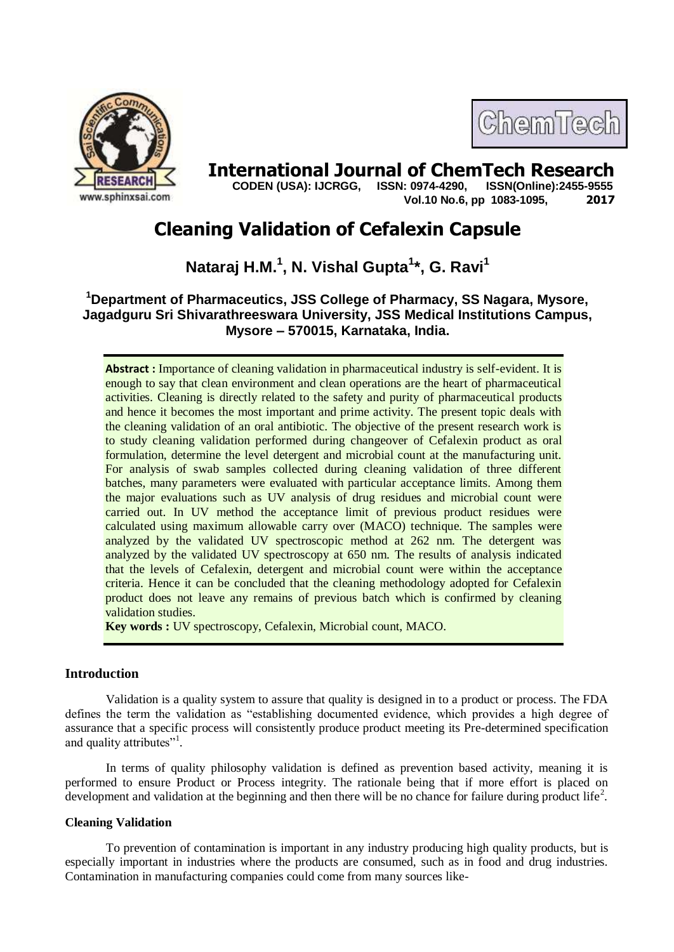

# ChemTech

**International Journal of ChemTech Research CODEN (USA): IJCRGG. ISSN: 0974-4290. ISSN(Online):2455-9555** 

 **CODEN (USA): IJCRGG, ISSN: 0974-4290, Vol.10 No.6, pp 1083-1095, 2017**

# **Cleaning Validation of Cefalexin Capsule**

**Nataraj H.M. 1 , N. Vishal Gupta<sup>1</sup> \*, G. Ravi<sup>1</sup>**

**<sup>1</sup>Department of Pharmaceutics, JSS College of Pharmacy, SS Nagara, Mysore, Jagadguru Sri Shivarathreeswara University, JSS Medical Institutions Campus, Mysore – 570015, Karnataka, India.**

**Abstract :** Importance of cleaning validation in pharmaceutical industry is self-evident. It is enough to say that clean environment and clean operations are the heart of pharmaceutical activities. Cleaning is directly related to the safety and purity of pharmaceutical products and hence it becomes the most important and prime activity. The present topic deals with the cleaning validation of an oral antibiotic. The objective of the present research work is to study cleaning validation performed during changeover of Cefalexin product as oral formulation, determine the level detergent and microbial count at the manufacturing unit. For analysis of swab samples collected during cleaning validation of three different batches, many parameters were evaluated with particular acceptance limits. Among them the major evaluations such as UV analysis of drug residues and microbial count were carried out. In UV method the acceptance limit of previous product residues were calculated using maximum allowable carry over (MACO) technique. The samples were analyzed by the validated UV spectroscopic method at 262 nm. The detergent was analyzed by the validated UV spectroscopy at 650 nm. The results of analysis indicated that the levels of Cefalexin, detergent and microbial count were within the acceptance criteria. Hence it can be concluded that the cleaning methodology adopted for Cefalexin product does not leave any remains of previous batch which is confirmed by cleaning validation studies.

**Key words :** UV spectroscopy, Cefalexin, Microbial count, MACO.

# **Introduction**

Validation is a quality system to assure that quality is designed in to a product or process. The FDA defines the term the validation as "establishing documented evidence, which provides a high degree of assurance that a specific process will consistently produce product meeting its Pre-determined specification and quality attributes"<sup>1</sup>.

In terms of quality philosophy validation is defined as prevention based activity, meaning it is performed to ensure Product or Process integrity. The rationale being that if more effort is placed on development and validation at the beginning and then there will be no chance for failure during product life<sup>2</sup>.

# **Cleaning Validation**

To prevention of contamination is important in any industry producing high quality products, but is especially important in industries where the products are consumed, such as in food and drug industries. Contamination in manufacturing companies could come from many sources like-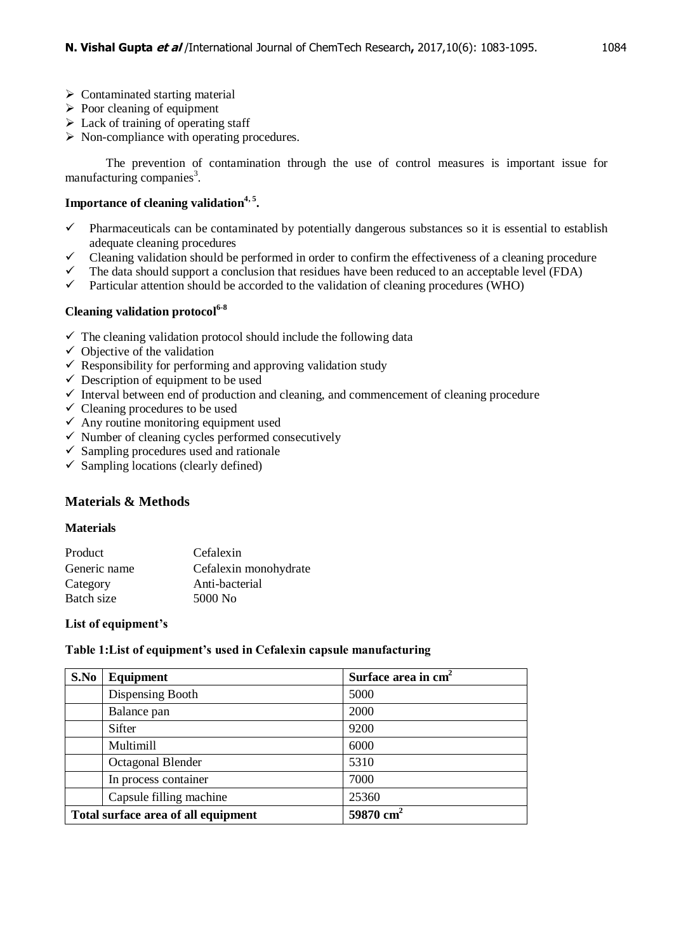- $\triangleright$  Contaminated starting material
- $\triangleright$  Poor cleaning of equipment
- $\triangleright$  Lack of training of operating staff
- $\triangleright$  Non-compliance with operating procedures.

The prevention of contamination through the use of control measures is important issue for manufacturing companies<sup>3</sup>.

# **Importance of cleaning validation4, 5 .**

- $\checkmark$  Pharmaceuticals can be contaminated by potentially dangerous substances so it is essential to establish adequate cleaning procedures
- $\checkmark$  Cleaning validation should be performed in order to confirm the effectiveness of a cleaning procedure
- $\checkmark$  The data should support a conclusion that residues have been reduced to an acceptable level (FDA)  $\checkmark$  Particular attention should be accorded to the validation of cleaning procedures (WHO)
- Particular attention should be accorded to the validation of cleaning procedures (WHO)

# **Cleaning validation protocol6-8**

- $\checkmark$  The cleaning validation protocol should include the following data
- $\checkmark$  Objective of the validation
- $\checkmark$  Responsibility for performing and approving validation study
- $\checkmark$  Description of equipment to be used
- $\checkmark$  Interval between end of production and cleaning, and commencement of cleaning procedure
- $\checkmark$  Cleaning procedures to be used
- $\checkmark$  Any routine monitoring equipment used
- $\checkmark$  Number of cleaning cycles performed consecutively
- $\checkmark$  Sampling procedures used and rationale
- $\checkmark$  Sampling locations (clearly defined)

# **Materials & Methods**

#### **Materials**

| Product      | Cefalexin             |
|--------------|-----------------------|
| Generic name | Cefalexin monohydrate |
| Category     | Anti-bacterial        |
| Batch size   | 5000 No               |
|              |                       |

# **List of equipment's**

# **Table 1:List of equipment's used in Cefalexin capsule manufacturing**

| S.No      | Equipment                           | Surface area in cm <sup>2</sup> |
|-----------|-------------------------------------|---------------------------------|
|           | Dispensing Booth                    | 5000                            |
|           | Balance pan                         | 2000                            |
|           | Sifter                              | 9200                            |
| Multimill |                                     | 6000                            |
|           | Octagonal Blender                   | 5310                            |
|           | In process container                | 7000                            |
|           | Capsule filling machine             | 25360                           |
|           | Total surface area of all equipment | $59870$ cm <sup>2</sup>         |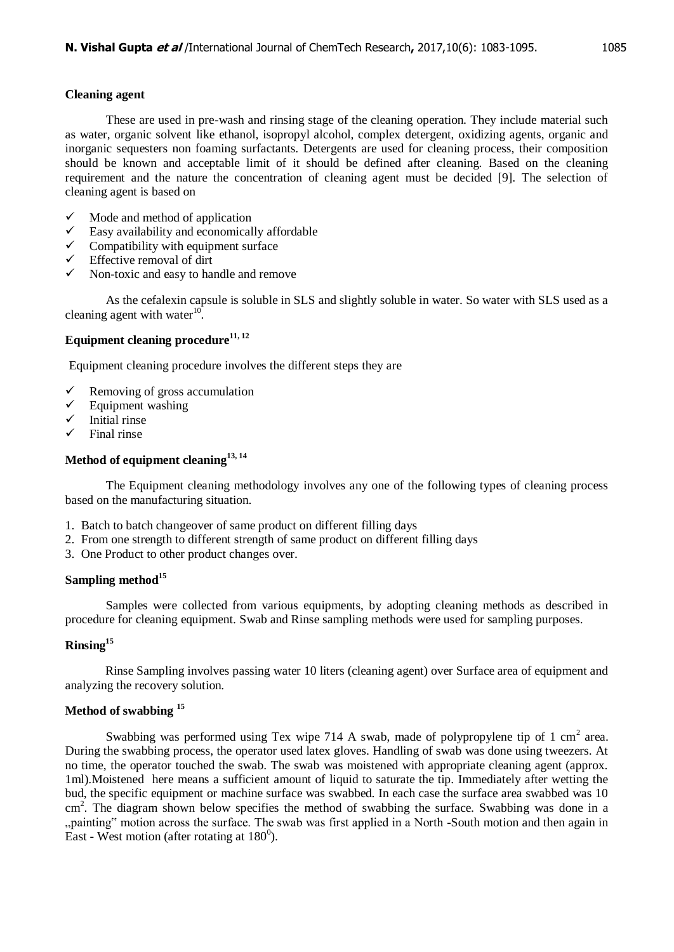# **Cleaning agent**

These are used in pre-wash and rinsing stage of the cleaning operation. They include material such as water, organic solvent like ethanol, isopropyl alcohol, complex detergent, oxidizing agents, organic and inorganic sequesters non foaming surfactants. Detergents are used for cleaning process, their composition should be known and acceptable limit of it should be defined after cleaning. Based on the cleaning requirement and the nature the concentration of cleaning agent must be decided [9]. The selection of cleaning agent is based on

- $\checkmark$  Mode and method of application
- $\checkmark$  Easy availability and economically affordable  $\checkmark$  Compatibility with equipment surface
- $\checkmark$  Compatibility with equipment surface  $\checkmark$  Effective removal of dirt
- Effective removal of dirt
- $\checkmark$  Non-toxic and easy to handle and remove

As the cefalexin capsule is soluble in SLS and slightly soluble in water. So water with SLS used as a cleaning agent with water $10$ .

# **Equipment cleaning procedure11, 12**

Equipment cleaning procedure involves the different steps they are

- Elemoving of gross accumulation  $\checkmark$  Equipment washing
- $\checkmark$  Equipment washing  $\checkmark$  Initial rinse
- $\checkmark$  Initial rinse<br> $\checkmark$  Final rinse
- Final rinse

# **Method of equipment cleaning13, 14**

The Equipment cleaning methodology involves any one of the following types of cleaning process based on the manufacturing situation.

- 1. Batch to batch changeover of same product on different filling days
- 2. From one strength to different strength of same product on different filling days
- 3. One Product to other product changes over.

# **Sampling method<sup>15</sup>**

Samples were collected from various equipments, by adopting cleaning methods as described in procedure for cleaning equipment. Swab and Rinse sampling methods were used for sampling purposes.

# **Rinsing<sup>15</sup>**

Rinse Sampling involves passing water 10 liters (cleaning agent) over Surface area of equipment and analyzing the recovery solution.

# **Method of swabbing <sup>15</sup>**

Swabbing was performed using Tex wipe 714 A swab, made of polypropylene tip of 1 cm<sup>2</sup> area. During the swabbing process, the operator used latex gloves. Handling of swab was done using tweezers. At no time, the operator touched the swab. The swab was moistened with appropriate cleaning agent (approx. 1ml).Moistened here means a sufficient amount of liquid to saturate the tip. Immediately after wetting the bud, the specific equipment or machine surface was swabbed. In each case the surface area swabbed was 10 cm<sup>2</sup>. The diagram shown below specifies the method of swabbing the surface. Swabbing was done in a "painting" motion across the surface. The swab was first applied in a North -South motion and then again in East - West motion (after rotating at  $180^0$ ).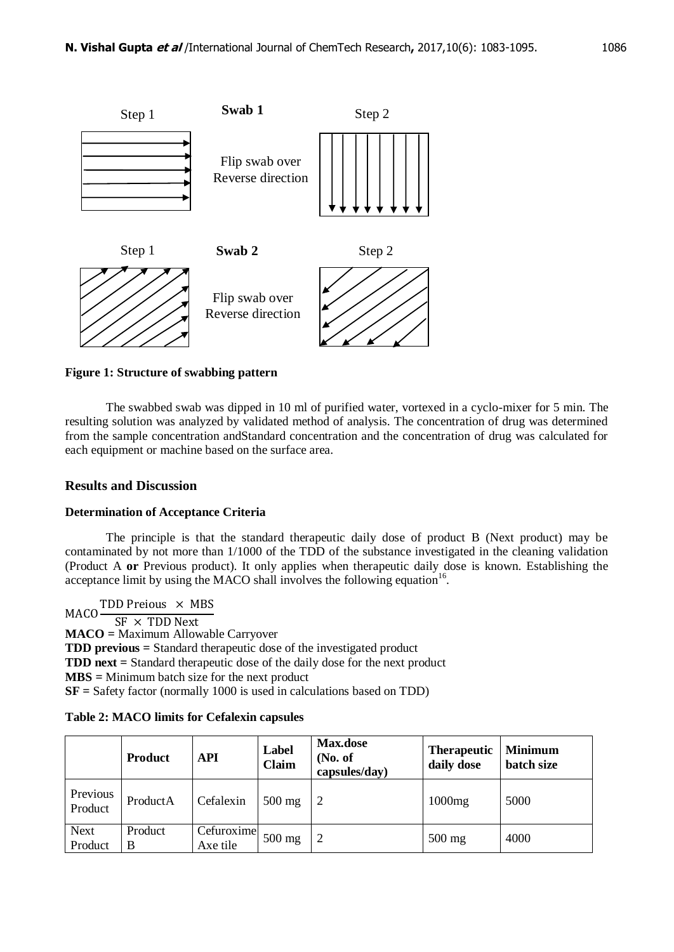

**Figure 1: Structure of swabbing pattern**

The swabbed swab was dipped in 10 ml of purified water, vortexed in a cyclo-mixer for 5 min. The resulting solution was analyzed by validated method of analysis. The concentration of drug was determined from the sample concentration andStandard concentration and the concentration of drug was calculated for each equipment or machine based on the surface area.

# **Results and Discussion**

# **Determination of Acceptance Criteria**

The principle is that the standard therapeutic daily dose of product B (Next product) may be contaminated by not more than 1/1000 of the TDD of the substance investigated in the cleaning validation (Product A **or** Previous product). It only applies when therapeutic daily dose is known. Establishing the acceptance limit by using the MACO shall involves the following equation<sup>16</sup>.

**MACO** TDD Preious  $\times$  MBS  $SF \times TDD$  Next **MACO =** Maximum Allowable Carryover **TDD previous =** Standard therapeutic dose of the investigated product **TDD next =** Standard therapeutic dose of the daily dose for the next product **MBS =** Minimum batch size for the next product **SF =** Safety factor (normally 1000 is used in calculations based on TDD)

| <b>Table 2: MACO limits for Cefalexin capsules</b> |  |  |  |
|----------------------------------------------------|--|--|--|
|----------------------------------------------------|--|--|--|

|                        | <b>Product</b> | <b>API</b>             | Label<br>Claim | Max.dose<br>No. of<br>capsules/day) | <b>Therapeutic</b><br>daily dose | <b>Minimum</b><br>batch size |
|------------------------|----------------|------------------------|----------------|-------------------------------------|----------------------------------|------------------------------|
| Previous<br>Product    | ProductA       | Cefalexin              | $500$ mg       |                                     | 1000mg                           | 5000                         |
| <b>Next</b><br>Product | Product<br>B   | Cefuroxime<br>Axe tile | $500$ mg       | $\overline{2}$                      | $500$ mg                         | 4000                         |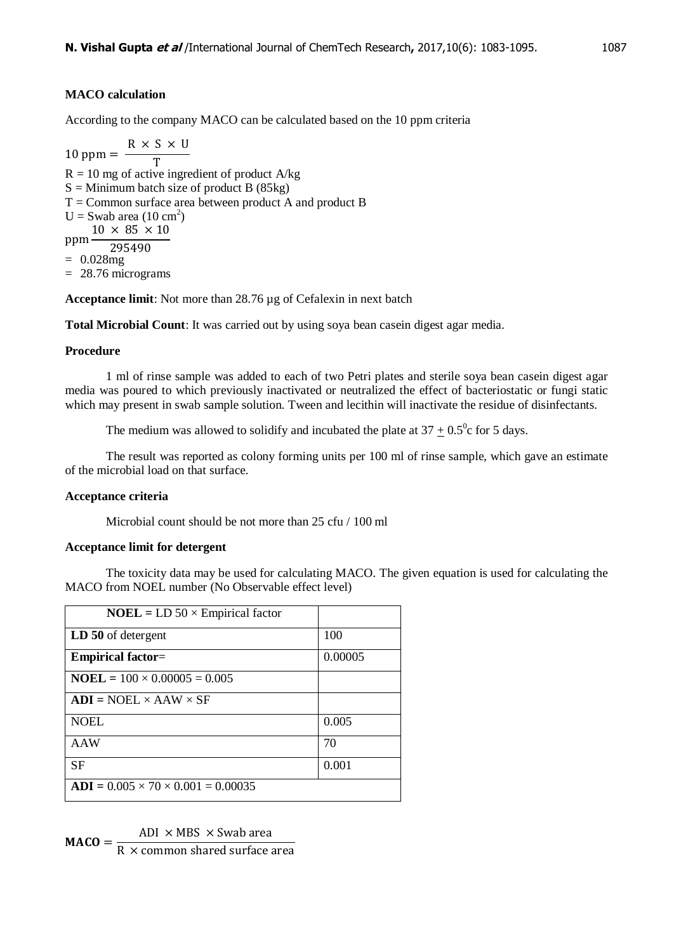# **MACO calculation**

According to the company MACO can be calculated based on the 10 ppm criteria

 $\mathbf{1}$ R T  $R = 10$  mg of active ingredient of product A/kg  $S =$  Minimum batch size of product B (85kg)  $T =$  Common surface area between product A and product B  $U =$  Swab area (10 cm<sup>2</sup>) ppm- $10 \times 85 \times 10$ 295490  $= 0.028mg$ = 28.76 micrograms

**Acceptance limit**: Not more than 28.76 µg of Cefalexin in next batch

**Total Microbial Count**: It was carried out by using soya bean casein digest agar media.

# **Procedure**

1 ml of rinse sample was added to each of two Petri plates and sterile soya bean casein digest agar media was poured to which previously inactivated or neutralized the effect of bacteriostatic or fungi static which may present in swab sample solution. Tween and lecithin will inactivate the residue of disinfectants.

The medium was allowed to solidify and incubated the plate at  $37 \pm 0.5^{\circ}$  c for 5 days.

The result was reported as colony forming units per 100 ml of rinse sample, which gave an estimate of the microbial load on that surface.

# **Acceptance criteria**

Microbial count should be not more than 25 cfu / 100 ml

# **Acceptance limit for detergent**

The toxicity data may be used for calculating MACO. The given equation is used for calculating the MACO from NOEL number (No Observable effect level)

| $NOEL = LD 50 \times Empirical factor$         |         |
|------------------------------------------------|---------|
| LD 50 of detergent                             | 100     |
| <b>Empirical factor=</b>                       | 0.00005 |
| $NOEL = 100 \times 0.00005 = 0.005$            |         |
| $ADI = NOEL \times AAW \times SF$              |         |
| <b>NOEL</b>                                    | 0.005   |
| AAW                                            | 70      |
| <b>SF</b>                                      | 0.001   |
| $ADI = 0.005 \times 70 \times 0.001 = 0.00035$ |         |

M A

R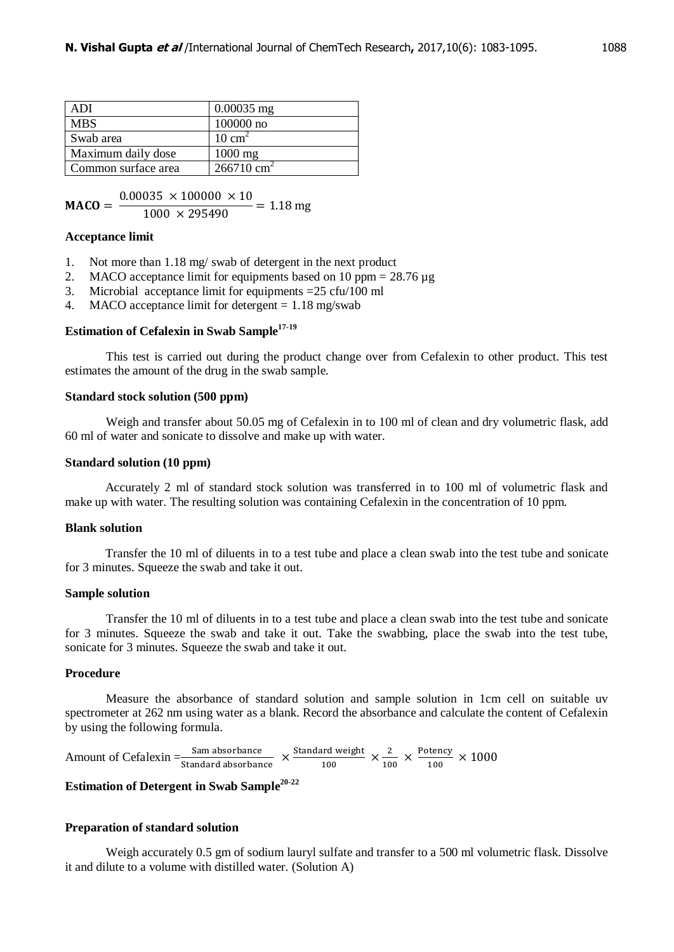| ADI                 | $0.00035$ mg          |
|---------------------|-----------------------|
| <b>MBS</b>          | $100000$ no           |
| Swab area           | $10 \text{ cm}^2$     |
| Maximum daily dose  | $1000$ mg             |
| Common surface area | $266710 \text{ cm}^2$ |

M  $\boldsymbol{0}$  $\mathbf{1}$ 

#### **Acceptance limit**

- 1. Not more than 1.18 mg/ swab of detergent in the next product
- 2. MACO acceptance limit for equipments based on 10 ppm =  $28.76 \mu$ g<br>3. Microbial acceptance limit for equipments =  $25 \text{ c} \text{fn} / 100 \text{ ml}$
- Microbial acceptance limit for equipments  $=25 \text{ cftu}/100 \text{ ml}$
- 4. MACO acceptance limit for detergent  $= 1.18$  mg/swab

# **Estimation of Cefalexin in Swab Sample17-19**

This test is carried out during the product change over from Cefalexin to other product. This test estimates the amount of the drug in the swab sample.

#### **Standard stock solution (500 ppm)**

Weigh and transfer about 50.05 mg of Cefalexin in to 100 ml of clean and dry volumetric flask, add 60 ml of water and sonicate to dissolve and make up with water.

#### **Standard solution (10 ppm)**

Accurately 2 ml of standard stock solution was transferred in to 100 ml of volumetric flask and make up with water. The resulting solution was containing Cefalexin in the concentration of 10 ppm.

#### **Blank solution**

Transfer the 10 ml of diluents in to a test tube and place a clean swab into the test tube and sonicate for 3 minutes. Squeeze the swab and take it out.

#### **Sample solution**

Transfer the 10 ml of diluents in to a test tube and place a clean swab into the test tube and sonicate for 3 minutes. Squeeze the swab and take it out. Take the swabbing, place the swab into the test tube, sonicate for 3 minutes. Squeeze the swab and take it out.

#### **Procedure**

Measure the absorbance of standard solution and sample solution in 1cm cell on suitable uv spectrometer at 262 nm using water as a blank. Record the absorbance and calculate the content of Cefalexin by using the following formula.

Amount of Cefalexin  $=\frac{S}{Stan}$ S  $\frac{\text{ard weight}}{100} \times \frac{2}{10}$  $rac{2}{100} \times \frac{P}{ }$  $\frac{100}{100}$  X

# **Estimation of Detergent in Swab Sample 20-22**

#### **Preparation of standard solution**

Weigh accurately 0.5 gm of sodium lauryl sulfate and transfer to a 500 ml volumetric flask. Dissolve it and dilute to a volume with distilled water. (Solution A)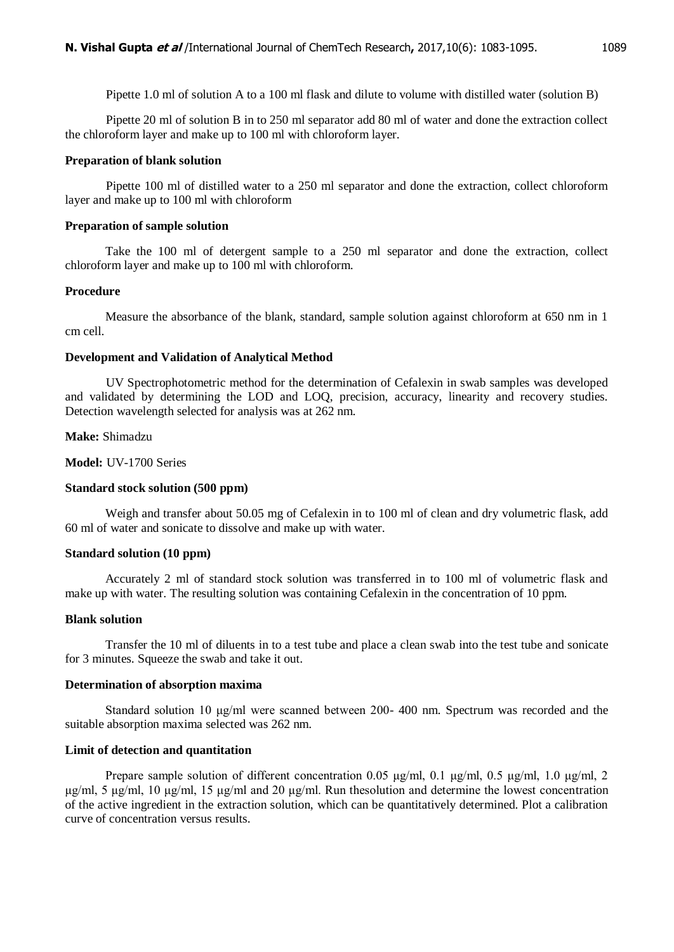Pipette 1.0 ml of solution A to a 100 ml flask and dilute to volume with distilled water (solution B)

Pipette 20 ml of solution B in to 250 ml separator add 80 ml of water and done the extraction collect the chloroform layer and make up to 100 ml with chloroform layer.

# **Preparation of blank solution**

Pipette 100 ml of distilled water to a 250 ml separator and done the extraction, collect chloroform layer and make up to 100 ml with chloroform

#### **Preparation of sample solution**

Take the 100 ml of detergent sample to a 250 ml separator and done the extraction, collect chloroform layer and make up to 100 ml with chloroform.

# **Procedure**

Measure the absorbance of the blank, standard, sample solution against chloroform at 650 nm in 1 cm cell.

#### **Development and Validation of Analytical Method**

UV Spectrophotometric method for the determination of Cefalexin in swab samples was developed and validated by determining the LOD and LOQ, precision, accuracy, linearity and recovery studies. Detection wavelength selected for analysis was at 262 nm.

**Make:** Shimadzu

**Model:** UV-1700 Series

# **Standard stock solution (500 ppm)**

Weigh and transfer about 50.05 mg of Cefalexin in to 100 ml of clean and dry volumetric flask, add 60 ml of water and sonicate to dissolve and make up with water.

# **Standard solution (10 ppm)**

Accurately 2 ml of standard stock solution was transferred in to 100 ml of volumetric flask and make up with water. The resulting solution was containing Cefalexin in the concentration of 10 ppm.

# **Blank solution**

Transfer the 10 ml of diluents in to a test tube and place a clean swab into the test tube and sonicate for 3 minutes. Squeeze the swab and take it out.

#### **Determination of absorption maxima**

Standard solution 10 μg/ml were scanned between 200- 400 nm. Spectrum was recorded and the suitable absorption maxima selected was 262 nm.

# **Limit of detection and quantitation**

Prepare sample solution of different concentration 0.05 μg/ml, 0.1 μg/ml, 0.5 μg/ml, 1.0 μg/ml, 2 μg/ml, 5 μg/ml, 10 μg/ml, 15 μg/ml and 20 μg/ml. Run thesolution and determine the lowest concentration of the active ingredient in the extraction solution, which can be quantitatively determined. Plot a calibration curve of concentration versus results.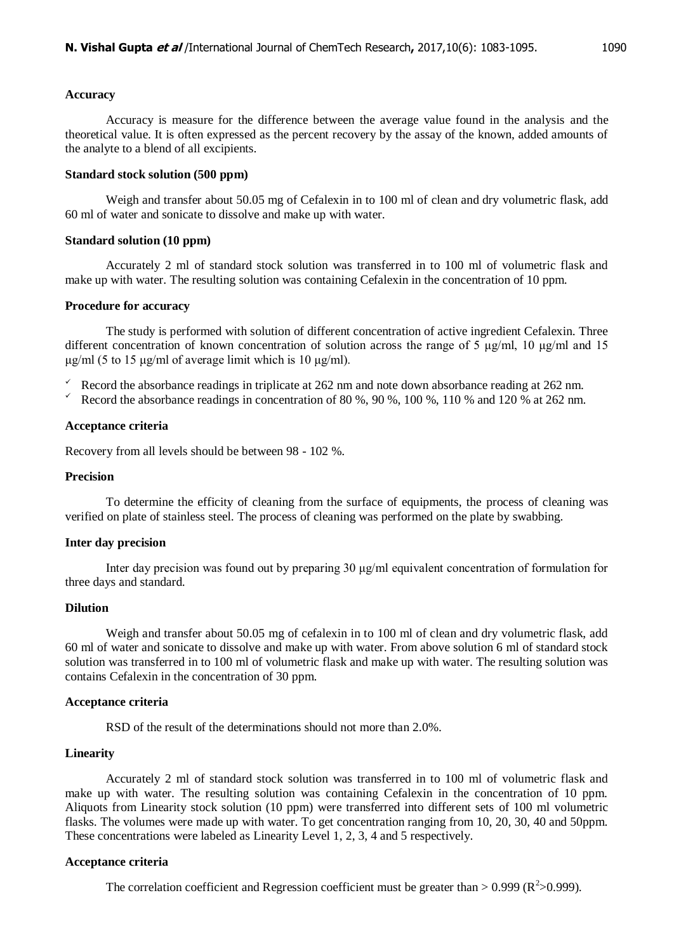#### **Accuracy**

Accuracy is measure for the difference between the average value found in the analysis and the theoretical value. It is often expressed as the percent recovery by the assay of the known, added amounts of the analyte to a blend of all excipients.

#### **Standard stock solution (500 ppm)**

Weigh and transfer about 50.05 mg of Cefalexin in to 100 ml of clean and dry volumetric flask, add 60 ml of water and sonicate to dissolve and make up with water.

#### **Standard solution (10 ppm)**

Accurately 2 ml of standard stock solution was transferred in to 100 ml of volumetric flask and make up with water. The resulting solution was containing Cefalexin in the concentration of 10 ppm.

#### **Procedure for accuracy**

The study is performed with solution of different concentration of active ingredient Cefalexin. Three different concentration of known concentration of solution across the range of 5 μg/ml, 10 μg/ml and 15 μg/ml (5 to 15 μg/ml of average limit which is 10 μg/ml).

- Record the absorbance readings in triplicate at 262 nm and note down absorbance reading at 262 nm.<br>Record the absorbance readings in concentration of 80 % 90 % 100 % 110 % and 120 % at 262 nm
- Record the absorbance readings in concentration of 80 %, 90 %, 100 %, 110 % and 120 % at 262 nm.

#### **Acceptance criteria**

Recovery from all levels should be between 98 - 102 %.

# **Precision**

To determine the efficity of cleaning from the surface of equipments, the process of cleaning was verified on plate of stainless steel. The process of cleaning was performed on the plate by swabbing.

#### **Inter day precision**

Inter day precision was found out by preparing 30 μg/ml equivalent concentration of formulation for three days and standard.

#### **Dilution**

Weigh and transfer about 50.05 mg of cefalexin in to 100 ml of clean and dry volumetric flask, add 60 ml of water and sonicate to dissolve and make up with water. From above solution 6 ml of standard stock solution was transferred in to 100 ml of volumetric flask and make up with water. The resulting solution was contains Cefalexin in the concentration of 30 ppm.

#### **Acceptance criteria**

RSD of the result of the determinations should not more than 2.0%.

#### **Linearity**

Accurately 2 ml of standard stock solution was transferred in to 100 ml of volumetric flask and make up with water. The resulting solution was containing Cefalexin in the concentration of 10 ppm. Aliquots from Linearity stock solution (10 ppm) were transferred into different sets of 100 ml volumetric flasks. The volumes were made up with water. To get concentration ranging from 10, 20, 30, 40 and 50ppm. These concentrations were labeled as Linearity Level 1, 2, 3, 4 and 5 respectively.

#### **Acceptance criteria**

The correlation coefficient and Regression coefficient must be greater than > 0.999 ( $\mathbb{R}^2$  > 0.999).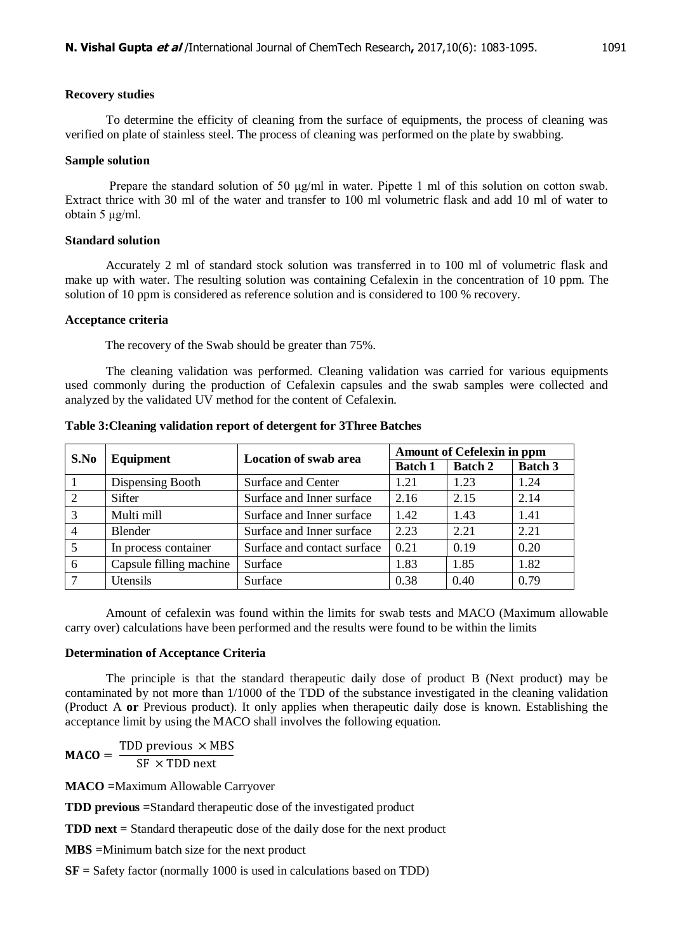#### **Recovery studies**

To determine the efficity of cleaning from the surface of equipments, the process of cleaning was verified on plate of stainless steel. The process of cleaning was performed on the plate by swabbing.

#### **Sample solution**

Prepare the standard solution of 50  $\mu$ g/ml in water. Pipette 1 ml of this solution on cotton swab. Extract thrice with 30 ml of the water and transfer to 100 ml volumetric flask and add 10 ml of water to obtain 5 μg/ml.

#### **Standard solution**

Accurately 2 ml of standard stock solution was transferred in to 100 ml of volumetric flask and make up with water. The resulting solution was containing Cefalexin in the concentration of 10 ppm. The solution of 10 ppm is considered as reference solution and is considered to 100 % recovery.

#### **Acceptance criteria**

The recovery of the Swab should be greater than 75%.

The cleaning validation was performed. Cleaning validation was carried for various equipments used commonly during the production of Cefalexin capsules and the swab samples were collected and analyzed by the validated UV method for the content of Cefalexin.

| S.No | Equipment               | <b>Location of swab area</b> | <b>Amount of Cefelexin in ppm</b> |                |                |
|------|-------------------------|------------------------------|-----------------------------------|----------------|----------------|
|      |                         |                              | <b>Batch 1</b>                    | <b>Batch 2</b> | <b>Batch 3</b> |
|      | Dispensing Booth        | Surface and Center           | 1.21                              | 1.23           | 1.24           |
|      | Sifter                  | Surface and Inner surface    | 2.16                              | 2.15           | 2.14           |
| 3    | Multi mill              | Surface and Inner surface    | 1.42                              | 1.43           | 1.41           |
|      | Blender                 | Surface and Inner surface    | 2.23                              | 2.21           | 2.21           |
|      | In process container    | Surface and contact surface  | 0.21                              | 0.19           | 0.20           |
| 6    | Capsule filling machine | Surface                      | 1.83                              | 1.85           | 1.82           |
|      | Utensils                | Surface                      | 0.38                              | 0.40           | 0.79           |

**Table 3:Cleaning validation report of detergent for 3Three Batches**

Amount of cefalexin was found within the limits for swab tests and MACO (Maximum allowable carry over) calculations have been performed and the results were found to be within the limits

#### **Determination of Acceptance Criteria**

The principle is that the standard therapeutic daily dose of product B (Next product) may be contaminated by not more than 1/1000 of the TDD of the substance investigated in the cleaning validation (Product A **or** Previous product). It only applies when therapeutic daily dose is known. Establishing the acceptance limit by using the MACO shall involves the following equation.

M T S

**MACO =**Maximum Allowable Carryover

**TDD previous =**Standard therapeutic dose of the investigated product

**TDD next =** Standard therapeutic dose of the daily dose for the next product

**MBS =**Minimum batch size for the next product

**SF =** Safety factor (normally 1000 is used in calculations based on TDD)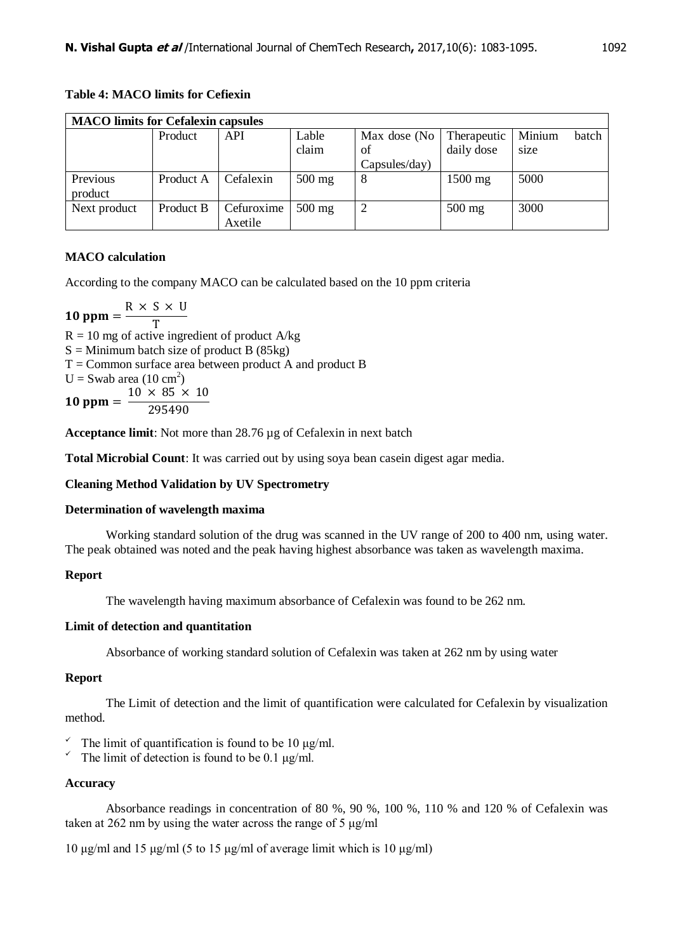| <b>MACO</b> limits for Cefalexin capsules |           |            |          |               |             |        |       |
|-------------------------------------------|-----------|------------|----------|---------------|-------------|--------|-------|
|                                           | Product   | API        | Lable    | Max dose (No  | Therapeutic | Minium | batch |
|                                           |           |            | claim    | of            | daily dose  | size   |       |
|                                           |           |            |          | Capsules/day) |             |        |       |
| Previous                                  | Product A | Cefalexin  | $500$ mg | 8             | 1500 mg     | 5000   |       |
| product                                   |           |            |          |               |             |        |       |
| Next product                              | Product B | Cefuroxime | $500$ mg | ↵             | $500$ mg    | 3000   |       |
|                                           |           | Axetile    |          |               |             |        |       |

# **Table 4: MACO limits for Cefiexin**

# **MACO calculation**

According to the company MACO can be calculated based on the 10 ppm criteria

 $\mathbf{1}$ R T  $R = 10$  mg of active ingredient of product A/kg  $S =$  Minimum batch size of product B (85kg)  $T =$  Common surface area between product A and product B  $U =$  Swab area (10 cm<sup>2</sup>)  $\mathbf{1}$  $\mathbf{1}$  $\overline{c}$ 

**Acceptance limit**: Not more than 28.76 µg of Cefalexin in next batch

**Total Microbial Count**: It was carried out by using soya bean casein digest agar media.

# **Cleaning Method Validation by UV Spectrometry**

# **Determination of wavelength maxima**

Working standard solution of the drug was scanned in the UV range of 200 to 400 nm, using water. The peak obtained was noted and the peak having highest absorbance was taken as wavelength maxima.

# **Report**

The wavelength having maximum absorbance of Cefalexin was found to be 262 nm.

# **Limit of detection and quantitation**

Absorbance of working standard solution of Cefalexin was taken at 262 nm by using water

# **Report**

The Limit of detection and the limit of quantification were calculated for Cefalexin by visualization method.

- The limit of quantification is found to be 10  $\mu$ g/ml.<br>The limit of detection is found to be 0.1  $\mu$ g/ml
- The limit of detection is found to be 0.1 μg/ml.

# **Accuracy**

Absorbance readings in concentration of 80 %, 90 %, 100 %, 110 % and 120 % of Cefalexin was taken at 262 nm by using the water across the range of 5 μg/ml

10 μg/ml and 15 μg/ml (5 to 15 μg/ml of average limit which is 10 μg/ml)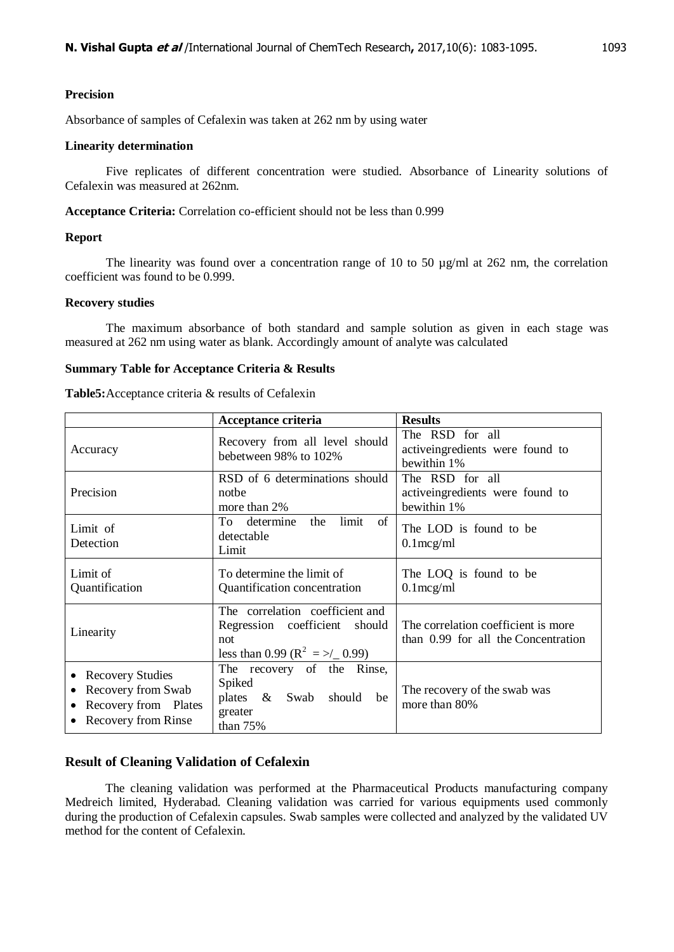#### **Precision**

Absorbance of samples of Cefalexin was taken at 262 nm by using water

# **Linearity determination**

Five replicates of different concentration were studied. Absorbance of Linearity solutions of Cefalexin was measured at 262nm.

**Acceptance Criteria:** Correlation co-efficient should not be less than 0.999

#### **Report**

The linearity was found over a concentration range of 10 to 50  $\mu$ g/ml at 262 nm, the correlation coefficient was found to be 0.999.

# **Recovery studies**

The maximum absorbance of both standard and sample solution as given in each stage was measured at 262 nm using water as blank. Accordingly amount of analyte was calculated

#### **Summary Table for Acceptance Criteria & Results**

|                                                                                                                        | Acceptance criteria                                                                                                   | <b>Results</b>                                                             |  |
|------------------------------------------------------------------------------------------------------------------------|-----------------------------------------------------------------------------------------------------------------------|----------------------------------------------------------------------------|--|
| Accuracy                                                                                                               | Recovery from all level should<br>bebetween 98% to 102%                                                               | The RSD for all<br>activeing<br>redients were found to<br>bewithin 1%      |  |
| Precision                                                                                                              | RSD of 6 determinations should<br>nothe<br>more than 2%                                                               | The RSD for all<br>activeing<br>redients were found to<br>bewithin 1%      |  |
| limit<br>of<br>To determine<br>the<br>Limit of<br>detectable<br>Detection<br>Limit                                     |                                                                                                                       | The LOD is found to be<br>$0.1$ mcg/ml                                     |  |
| Limit of<br>Quantification                                                                                             | To determine the limit of<br>Quantification concentration                                                             | The LOQ is found to be<br>$0.1$ mcg/ml                                     |  |
| Linearity                                                                                                              | The correlation coefficient and<br>Regression coefficient should<br>not<br>less than 0.99 ( $R^2 = \frac{1}{2}$ 0.99) | The correlation coefficient is more<br>than 0.99 for all the Concentration |  |
| <b>Recovery Studies</b><br>$\bullet$<br>Recovery from Swab<br>Recovery from Plates<br>$\bullet$<br>Recovery from Rinse | The recovery of the Rinse,<br>Spiked<br>plates & Swab should be<br>greater<br>than 75%                                | The recovery of the swab was<br>more than 80%                              |  |

# **Result of Cleaning Validation of Cefalexin**

The cleaning validation was performed at the Pharmaceutical Products manufacturing company Medreich limited, Hyderabad. Cleaning validation was carried for various equipments used commonly during the production of Cefalexin capsules. Swab samples were collected and analyzed by the validated UV method for the content of Cefalexin.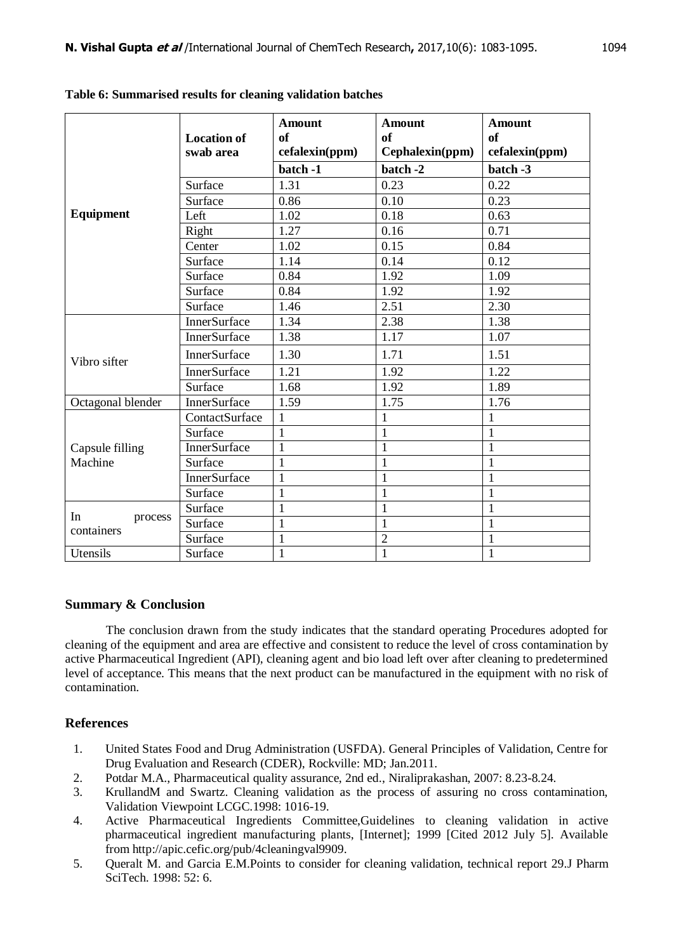|                       | <b>Location of</b><br>swab area | <b>Amount</b><br><b>of</b><br>cefalexin(ppm) | <b>Amount</b><br>of<br>Cephalexin(ppm) | <b>Amount</b><br>of<br>cefalexin(ppm) |
|-----------------------|---------------------------------|----------------------------------------------|----------------------------------------|---------------------------------------|
|                       |                                 | batch -1                                     | batch -2                               | batch -3                              |
|                       | Surface                         | 1.31                                         | 0.23                                   | 0.22                                  |
|                       | Surface                         | 0.86                                         | $\overline{0.10}$                      | 0.23                                  |
| Equipment             | Left                            | 1.02                                         | 0.18                                   | 0.63                                  |
|                       | Right                           | 1.27                                         | 0.16                                   | 0.71                                  |
|                       | Center                          | 1.02                                         | 0.15                                   | 0.84                                  |
|                       | Surface                         | 1.14                                         | 0.14                                   | 0.12                                  |
|                       | Surface                         | 0.84                                         | 1.92                                   | 1.09                                  |
|                       | Surface                         | 0.84                                         | 1.92                                   | 1.92                                  |
|                       | Surface                         | 1.46                                         | 2.51                                   | 2.30                                  |
|                       | <b>InnerSurface</b>             | 1.34                                         | 2.38                                   | 1.38                                  |
|                       | <b>InnerSurface</b>             | 1.38                                         | 1.17                                   | 1.07                                  |
| Vibro sifter          | <b>InnerSurface</b>             | 1.30                                         | 1.71                                   | 1.51                                  |
|                       | <b>InnerSurface</b>             | 1.21                                         | 1.92                                   | 1.22                                  |
|                       | Surface                         | 1.68                                         | 1.92                                   | 1.89                                  |
| Octagonal blender     | <b>InnerSurface</b>             | 1.59                                         | 1.75                                   | 1.76                                  |
|                       | ContactSurface                  | $\mathbf{1}$                                 | $\mathbf{1}$                           | $\mathbf{1}$                          |
|                       | Surface                         | $\mathbf{1}$                                 | $\mathbf{1}$                           | $\mathbf{1}$                          |
| Capsule filling       | InnerSurface                    | $\mathbf{1}$                                 | 1                                      | $\mathbf{1}$                          |
| Machine               | Surface                         | $\mathbf{1}$                                 | 1                                      | $\mathbf{1}$                          |
|                       | <b>InnerSurface</b>             | $\mathbf{1}$                                 | $\mathbf{1}$                           | $\mathbf{1}$                          |
|                       | Surface                         | $\mathbf{1}$                                 | 1                                      | $\mathbf{1}$                          |
| In                    | Surface                         | $\mathbf{1}$                                 | 1                                      | $\mathbf{1}$                          |
| process<br>containers | Surface                         | $\mathbf{1}$                                 | $\mathbf{1}$                           | $\mathbf{1}$                          |
|                       | Surface                         | $\mathbf{1}$                                 | $\overline{c}$                         | $\mathbf{1}$                          |
| Utensils              | Surface                         | $\mathbf{1}$                                 | $\mathbf{1}$                           | $\mathbf{1}$                          |

**Table 6: Summarised results for cleaning validation batches**

# **Summary & Conclusion**

The conclusion drawn from the study indicates that the standard operating Procedures adopted for cleaning of the equipment and area are effective and consistent to reduce the level of cross contamination by active Pharmaceutical Ingredient (API), cleaning agent and bio load left over after cleaning to predetermined level of acceptance. This means that the next product can be manufactured in the equipment with no risk of contamination.

# **References**

- 1. United States Food and Drug Administration (USFDA). General Principles of Validation, Centre for Drug Evaluation and Research (CDER), Rockville: MD; Jan.2011.
- 2. Potdar M.A., Pharmaceutical quality assurance, 2nd ed., Niraliprakashan, 2007: 8.23-8.24.
- 3. KrullandM and Swartz. Cleaning validation as the process of assuring no cross contamination, Validation Viewpoint LCGC.1998: 1016-19.
- 4. Active Pharmaceutical Ingredients Committee,Guidelines to cleaning validation in active pharmaceutical ingredient manufacturing plants, [Internet]; 1999 [Cited 2012 July 5]. Available from http://apic.cefic.org/pub/4cleaningval9909.
- 5. Queralt M. and Garcia E.M.Points to consider for cleaning validation, technical report 29.J Pharm SciTech. 1998: 52: 6.